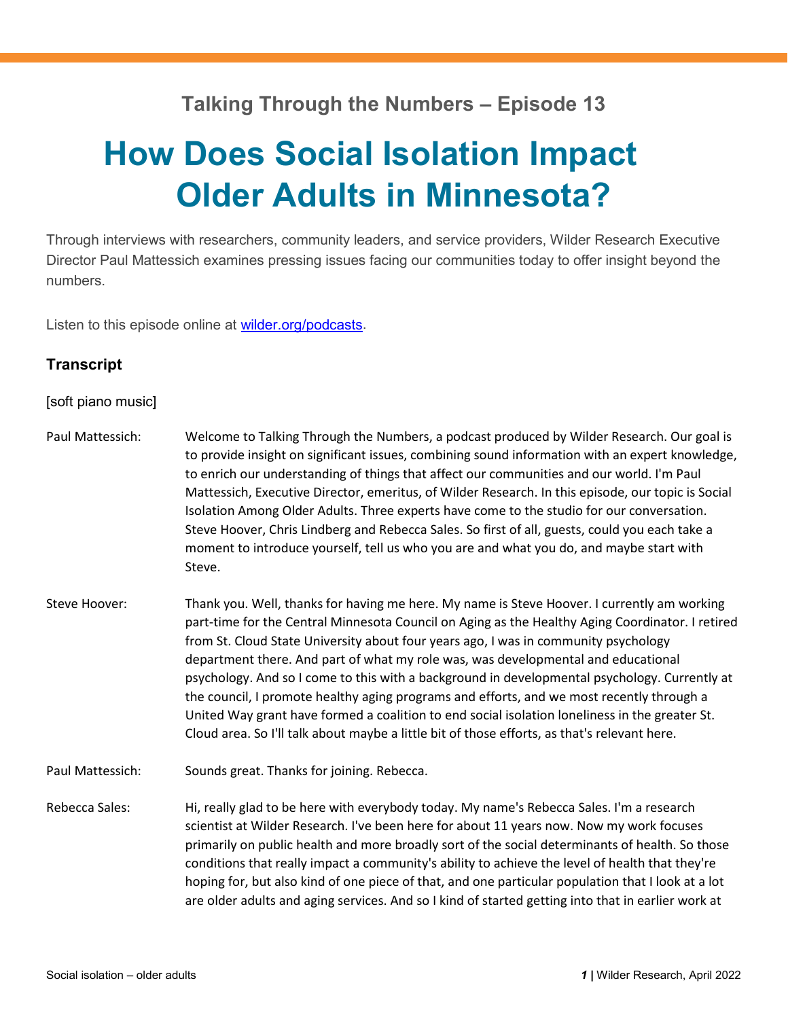## **Talking Through the Numbers – Episode 13**

## **How Does Social Isolation Impact Older Adults in Minnesota?**

Through interviews with researchers, community leaders, and service providers, Wilder Research Executive Director Paul Mattessich examines pressing issues facing our communities today to offer insight beyond the numbers.

Listen to this episode online at [wilder.org/podcasts.](http://wilder.org/podcasts)

## **Transcript**

[soft piano music]

| Paul Mattessich: | Welcome to Talking Through the Numbers, a podcast produced by Wilder Research. Our goal is<br>to provide insight on significant issues, combining sound information with an expert knowledge,<br>to enrich our understanding of things that affect our communities and our world. I'm Paul<br>Mattessich, Executive Director, emeritus, of Wilder Research. In this episode, our topic is Social<br>Isolation Among Older Adults. Three experts have come to the studio for our conversation.<br>Steve Hoover, Chris Lindberg and Rebecca Sales. So first of all, guests, could you each take a<br>moment to introduce yourself, tell us who you are and what you do, and maybe start with<br>Steve.                                                                        |
|------------------|-----------------------------------------------------------------------------------------------------------------------------------------------------------------------------------------------------------------------------------------------------------------------------------------------------------------------------------------------------------------------------------------------------------------------------------------------------------------------------------------------------------------------------------------------------------------------------------------------------------------------------------------------------------------------------------------------------------------------------------------------------------------------------|
| Steve Hoover:    | Thank you. Well, thanks for having me here. My name is Steve Hoover. I currently am working<br>part-time for the Central Minnesota Council on Aging as the Healthy Aging Coordinator. I retired<br>from St. Cloud State University about four years ago, I was in community psychology<br>department there. And part of what my role was, was developmental and educational<br>psychology. And so I come to this with a background in developmental psychology. Currently at<br>the council, I promote healthy aging programs and efforts, and we most recently through a<br>United Way grant have formed a coalition to end social isolation loneliness in the greater St.<br>Cloud area. So I'll talk about maybe a little bit of those efforts, as that's relevant here. |
| Paul Mattessich: | Sounds great. Thanks for joining. Rebecca.                                                                                                                                                                                                                                                                                                                                                                                                                                                                                                                                                                                                                                                                                                                                  |
| Rebecca Sales:   | Hi, really glad to be here with everybody today. My name's Rebecca Sales. I'm a research<br>scientist at Wilder Research. I've been here for about 11 years now. Now my work focuses<br>primarily on public health and more broadly sort of the social determinants of health. So those<br>conditions that really impact a community's ability to achieve the level of health that they're<br>hoping for, but also kind of one piece of that, and one particular population that I look at a lot<br>are older adults and aging services. And so I kind of started getting into that in earlier work at                                                                                                                                                                      |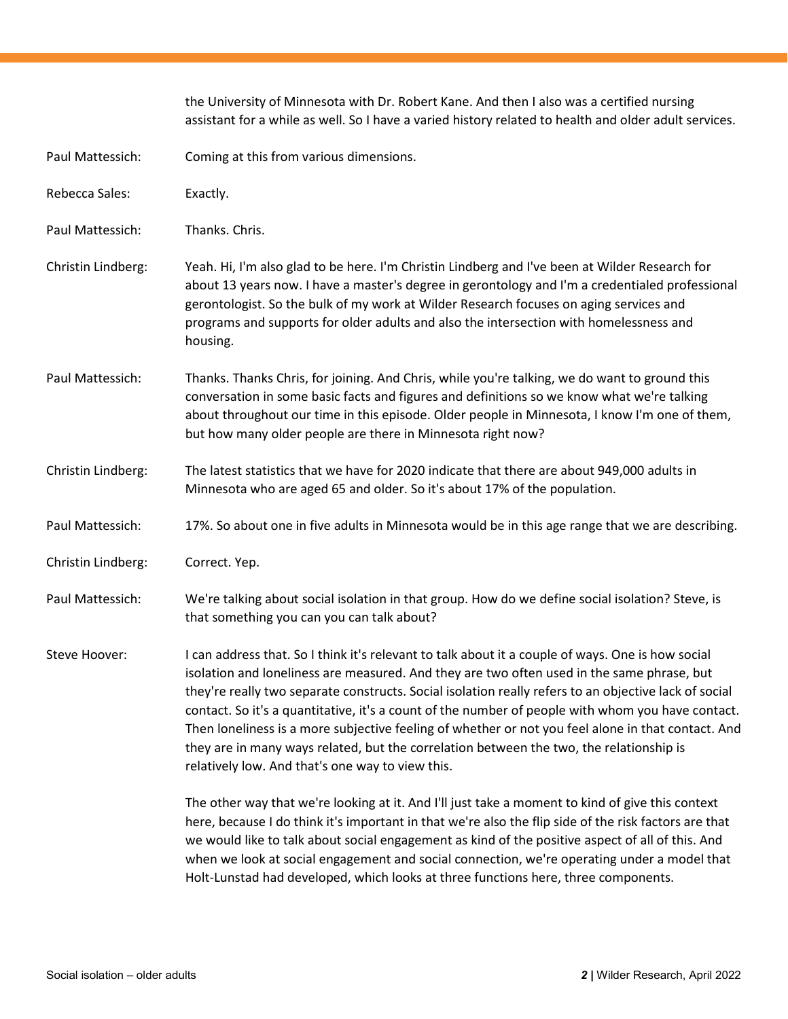|                    | the University of Minnesota with Dr. Robert Kane. And then I also was a certified nursing<br>assistant for a while as well. So I have a varied history related to health and older adult services.                                                                                                                                                                                                                                                                                                                                                                                                                                                                 |
|--------------------|--------------------------------------------------------------------------------------------------------------------------------------------------------------------------------------------------------------------------------------------------------------------------------------------------------------------------------------------------------------------------------------------------------------------------------------------------------------------------------------------------------------------------------------------------------------------------------------------------------------------------------------------------------------------|
| Paul Mattessich:   | Coming at this from various dimensions.                                                                                                                                                                                                                                                                                                                                                                                                                                                                                                                                                                                                                            |
| Rebecca Sales:     | Exactly.                                                                                                                                                                                                                                                                                                                                                                                                                                                                                                                                                                                                                                                           |
| Paul Mattessich:   | Thanks. Chris.                                                                                                                                                                                                                                                                                                                                                                                                                                                                                                                                                                                                                                                     |
| Christin Lindberg: | Yeah. Hi, I'm also glad to be here. I'm Christin Lindberg and I've been at Wilder Research for<br>about 13 years now. I have a master's degree in gerontology and I'm a credentialed professional<br>gerontologist. So the bulk of my work at Wilder Research focuses on aging services and<br>programs and supports for older adults and also the intersection with homelessness and<br>housing.                                                                                                                                                                                                                                                                  |
| Paul Mattessich:   | Thanks. Thanks Chris, for joining. And Chris, while you're talking, we do want to ground this<br>conversation in some basic facts and figures and definitions so we know what we're talking<br>about throughout our time in this episode. Older people in Minnesota, I know I'm one of them,<br>but how many older people are there in Minnesota right now?                                                                                                                                                                                                                                                                                                        |
| Christin Lindberg: | The latest statistics that we have for 2020 indicate that there are about 949,000 adults in<br>Minnesota who are aged 65 and older. So it's about 17% of the population.                                                                                                                                                                                                                                                                                                                                                                                                                                                                                           |
| Paul Mattessich:   | 17%. So about one in five adults in Minnesota would be in this age range that we are describing.                                                                                                                                                                                                                                                                                                                                                                                                                                                                                                                                                                   |
| Christin Lindberg: | Correct. Yep.                                                                                                                                                                                                                                                                                                                                                                                                                                                                                                                                                                                                                                                      |
| Paul Mattessich:   | We're talking about social isolation in that group. How do we define social isolation? Steve, is<br>that something you can you can talk about?                                                                                                                                                                                                                                                                                                                                                                                                                                                                                                                     |
| Steve Hoover:      | I can address that. So I think it's relevant to talk about it a couple of ways. One is how social<br>isolation and loneliness are measured. And they are two often used in the same phrase, but<br>they're really two separate constructs. Social isolation really refers to an objective lack of social<br>contact. So it's a quantitative, it's a count of the number of people with whom you have contact.<br>Then loneliness is a more subjective feeling of whether or not you feel alone in that contact. And<br>they are in many ways related, but the correlation between the two, the relationship is<br>relatively low. And that's one way to view this. |
|                    | The other way that we're looking at it. And I'll just take a moment to kind of give this context<br>here, because I do think it's important in that we're also the flip side of the risk factors are that<br>we would like to talk about social engagement as kind of the positive aspect of all of this. And<br>when we look at social engagement and social connection, we're operating under a model that<br>Holt-Lunstad had developed, which looks at three functions here, three components.                                                                                                                                                                 |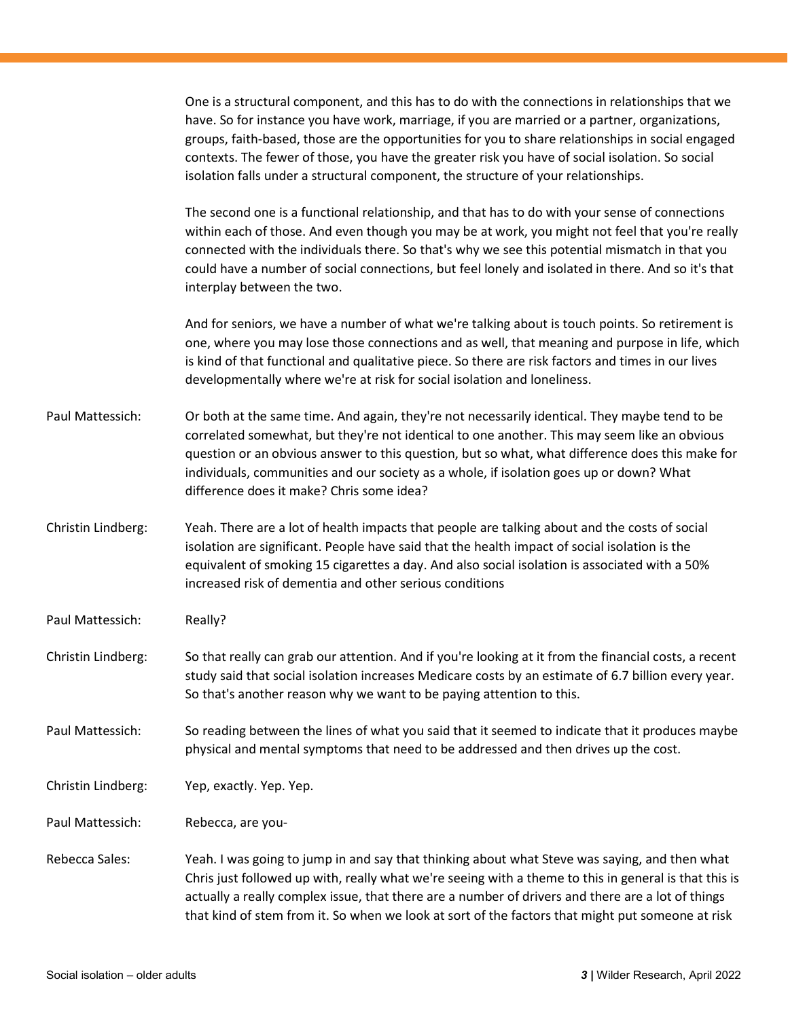One is a structural component, and this has to do with the connections in relationships that we have. So for instance you have work, marriage, if you are married or a partner, organizations, groups, faith-based, those are the opportunities for you to share relationships in social engaged contexts. The fewer of those, you have the greater risk you have of social isolation. So social isolation falls under a structural component, the structure of your relationships.

The second one is a functional relationship, and that has to do with your sense of connections within each of those. And even though you may be at work, you might not feel that you're really connected with the individuals there. So that's why we see this potential mismatch in that you could have a number of social connections, but feel lonely and isolated in there. And so it's that interplay between the two.

And for seniors, we have a number of what we're talking about is touch points. So retirement is one, where you may lose those connections and as well, that meaning and purpose in life, which is kind of that functional and qualitative piece. So there are risk factors and times in our lives developmentally where we're at risk for social isolation and loneliness.

Paul Mattessich: Or both at the same time. And again, they're not necessarily identical. They maybe tend to be correlated somewhat, but they're not identical to one another. This may seem like an obvious question or an obvious answer to this question, but so what, what difference does this make for individuals, communities and our society as a whole, if isolation goes up or down? What difference does it make? Chris some idea?

Christin Lindberg: Yeah. There are a lot of health impacts that people are talking about and the costs of social isolation are significant. People have said that the health impact of social isolation is the equivalent of smoking 15 cigarettes a day. And also social isolation is associated with a 50% increased risk of dementia and other serious conditions

Paul Mattessich: Really?

Christin Lindberg: So that really can grab our attention. And if you're looking at it from the financial costs, a recent study said that social isolation increases Medicare costs by an estimate of 6.7 billion every year. So that's another reason why we want to be paying attention to this.

Paul Mattessich: So reading between the lines of what you said that it seemed to indicate that it produces maybe physical and mental symptoms that need to be addressed and then drives up the cost.

Christin Lindberg: Yep, exactly. Yep. Yep.

Paul Mattessich: Rebecca, are you-

Rebecca Sales: Yeah. I was going to jump in and say that thinking about what Steve was saying, and then what Chris just followed up with, really what we're seeing with a theme to this in general is that this is actually a really complex issue, that there are a number of drivers and there are a lot of things that kind of stem from it. So when we look at sort of the factors that might put someone at risk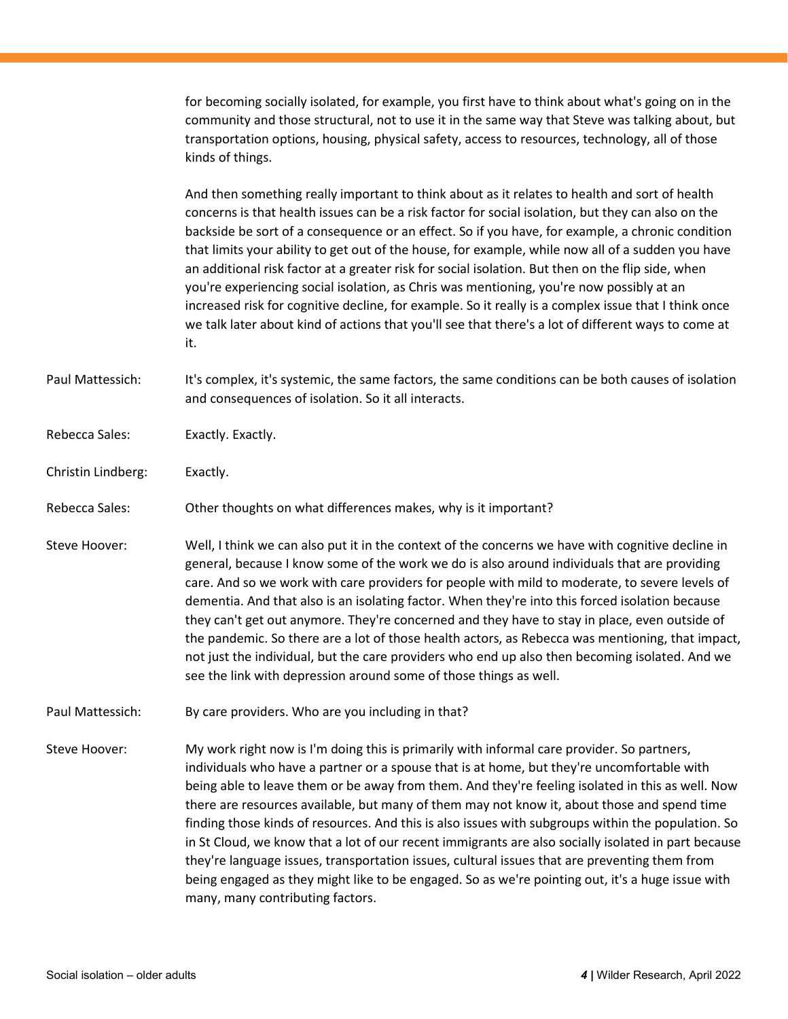for becoming socially isolated, for example, you first have to think about what's going on in the community and those structural, not to use it in the same way that Steve was talking about, but transportation options, housing, physical safety, access to resources, technology, all of those kinds of things.

And then something really important to think about as it relates to health and sort of health concerns is that health issues can be a risk factor for social isolation, but they can also on the backside be sort of a consequence or an effect. So if you have, for example, a chronic condition that limits your ability to get out of the house, for example, while now all of a sudden you have an additional risk factor at a greater risk for social isolation. But then on the flip side, when you're experiencing social isolation, as Chris was mentioning, you're now possibly at an increased risk for cognitive decline, for example. So it really is a complex issue that I think once we talk later about kind of actions that you'll see that there's a lot of different ways to come at it.

Paul Mattessich: It's complex, it's systemic, the same factors, the same conditions can be both causes of isolation and consequences of isolation. So it all interacts.

Rebecca Sales: Exactly. Exactly.

Christin Lindberg: Exactly.

Rebecca Sales: Other thoughts on what differences makes, why is it important?

Steve Hoover: Well, I think we can also put it in the context of the concerns we have with cognitive decline in general, because I know some of the work we do is also around individuals that are providing care. And so we work with care providers for people with mild to moderate, to severe levels of dementia. And that also is an isolating factor. When they're into this forced isolation because they can't get out anymore. They're concerned and they have to stay in place, even outside of the pandemic. So there are a lot of those health actors, as Rebecca was mentioning, that impact, not just the individual, but the care providers who end up also then becoming isolated. And we see the link with depression around some of those things as well.

Paul Mattessich: By care providers. Who are you including in that?

Steve Hoover: My work right now is I'm doing this is primarily with informal care provider. So partners, individuals who have a partner or a spouse that is at home, but they're uncomfortable with being able to leave them or be away from them. And they're feeling isolated in this as well. Now there are resources available, but many of them may not know it, about those and spend time finding those kinds of resources. And this is also issues with subgroups within the population. So in St Cloud, we know that a lot of our recent immigrants are also socially isolated in part because they're language issues, transportation issues, cultural issues that are preventing them from being engaged as they might like to be engaged. So as we're pointing out, it's a huge issue with many, many contributing factors.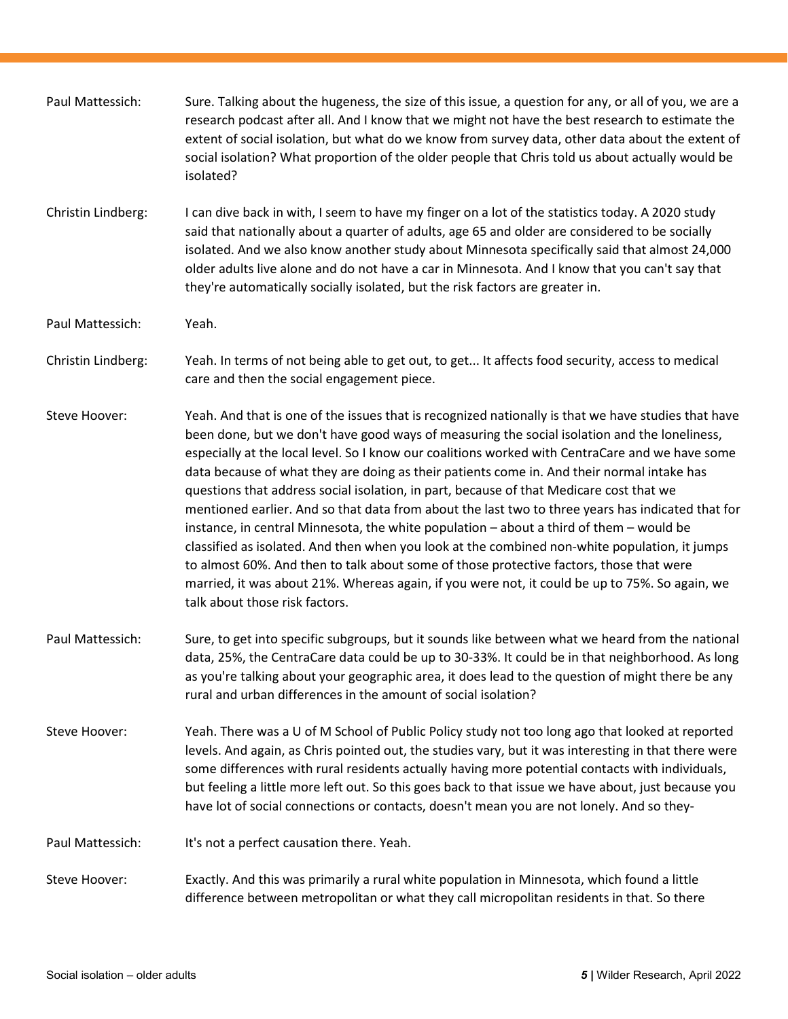| Paul Mattessich:   | Sure. Talking about the hugeness, the size of this issue, a question for any, or all of you, we are a<br>research podcast after all. And I know that we might not have the best research to estimate the<br>extent of social isolation, but what do we know from survey data, other data about the extent of<br>social isolation? What proportion of the older people that Chris told us about actually would be<br>isolated?                                                                                                                                                                                                                                                                                                                                                                                                                                                                                                                                                                                                   |
|--------------------|---------------------------------------------------------------------------------------------------------------------------------------------------------------------------------------------------------------------------------------------------------------------------------------------------------------------------------------------------------------------------------------------------------------------------------------------------------------------------------------------------------------------------------------------------------------------------------------------------------------------------------------------------------------------------------------------------------------------------------------------------------------------------------------------------------------------------------------------------------------------------------------------------------------------------------------------------------------------------------------------------------------------------------|
| Christin Lindberg: | I can dive back in with, I seem to have my finger on a lot of the statistics today. A 2020 study<br>said that nationally about a quarter of adults, age 65 and older are considered to be socially<br>isolated. And we also know another study about Minnesota specifically said that almost 24,000<br>older adults live alone and do not have a car in Minnesota. And I know that you can't say that<br>they're automatically socially isolated, but the risk factors are greater in.                                                                                                                                                                                                                                                                                                                                                                                                                                                                                                                                          |
| Paul Mattessich:   | Yeah.                                                                                                                                                                                                                                                                                                                                                                                                                                                                                                                                                                                                                                                                                                                                                                                                                                                                                                                                                                                                                           |
| Christin Lindberg: | Yeah. In terms of not being able to get out, to get It affects food security, access to medical<br>care and then the social engagement piece.                                                                                                                                                                                                                                                                                                                                                                                                                                                                                                                                                                                                                                                                                                                                                                                                                                                                                   |
| Steve Hoover:      | Yeah. And that is one of the issues that is recognized nationally is that we have studies that have<br>been done, but we don't have good ways of measuring the social isolation and the loneliness,<br>especially at the local level. So I know our coalitions worked with CentraCare and we have some<br>data because of what they are doing as their patients come in. And their normal intake has<br>questions that address social isolation, in part, because of that Medicare cost that we<br>mentioned earlier. And so that data from about the last two to three years has indicated that for<br>instance, in central Minnesota, the white population – about a third of them – would be<br>classified as isolated. And then when you look at the combined non-white population, it jumps<br>to almost 60%. And then to talk about some of those protective factors, those that were<br>married, it was about 21%. Whereas again, if you were not, it could be up to 75%. So again, we<br>talk about those risk factors. |
| Paul Mattessich:   | Sure, to get into specific subgroups, but it sounds like between what we heard from the national<br>data, 25%, the CentraCare data could be up to 30-33%. It could be in that neighborhood. As long<br>as you're talking about your geographic area, it does lead to the question of might there be any<br>rural and urban differences in the amount of social isolation?                                                                                                                                                                                                                                                                                                                                                                                                                                                                                                                                                                                                                                                       |
| Steve Hoover:      | Yeah. There was a U of M School of Public Policy study not too long ago that looked at reported<br>levels. And again, as Chris pointed out, the studies vary, but it was interesting in that there were<br>some differences with rural residents actually having more potential contacts with individuals,<br>but feeling a little more left out. So this goes back to that issue we have about, just because you<br>have lot of social connections or contacts, doesn't mean you are not lonely. And so they-                                                                                                                                                                                                                                                                                                                                                                                                                                                                                                                  |
| Paul Mattessich:   | It's not a perfect causation there. Yeah.                                                                                                                                                                                                                                                                                                                                                                                                                                                                                                                                                                                                                                                                                                                                                                                                                                                                                                                                                                                       |
| Steve Hoover:      | Exactly. And this was primarily a rural white population in Minnesota, which found a little<br>difference between metropolitan or what they call micropolitan residents in that. So there                                                                                                                                                                                                                                                                                                                                                                                                                                                                                                                                                                                                                                                                                                                                                                                                                                       |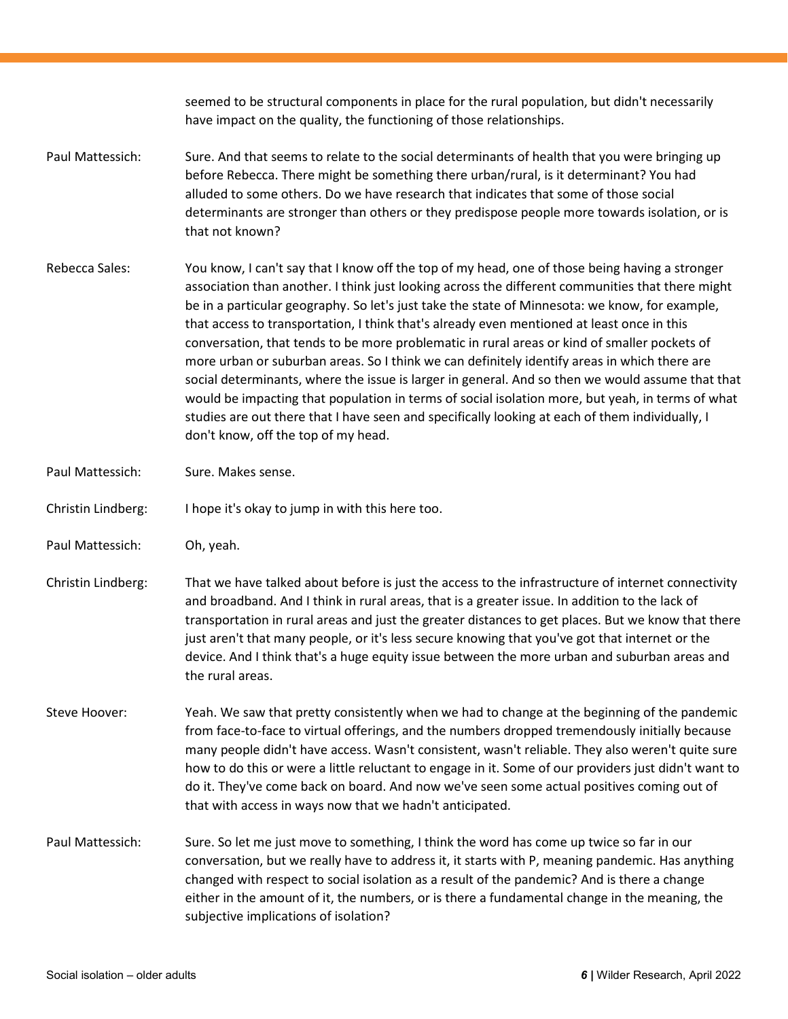|                    | seemed to be structural components in place for the rural population, but didn't necessarily<br>have impact on the quality, the functioning of those relationships.                                                                                                                                                                                                                                                                                                                                                                                                                                                                                                                                                                                                                                                                                                                                                                                  |
|--------------------|------------------------------------------------------------------------------------------------------------------------------------------------------------------------------------------------------------------------------------------------------------------------------------------------------------------------------------------------------------------------------------------------------------------------------------------------------------------------------------------------------------------------------------------------------------------------------------------------------------------------------------------------------------------------------------------------------------------------------------------------------------------------------------------------------------------------------------------------------------------------------------------------------------------------------------------------------|
| Paul Mattessich:   | Sure. And that seems to relate to the social determinants of health that you were bringing up<br>before Rebecca. There might be something there urban/rural, is it determinant? You had<br>alluded to some others. Do we have research that indicates that some of those social<br>determinants are stronger than others or they predispose people more towards isolation, or is<br>that not known?                                                                                                                                                                                                                                                                                                                                                                                                                                                                                                                                                  |
| Rebecca Sales:     | You know, I can't say that I know off the top of my head, one of those being having a stronger<br>association than another. I think just looking across the different communities that there might<br>be in a particular geography. So let's just take the state of Minnesota: we know, for example,<br>that access to transportation, I think that's already even mentioned at least once in this<br>conversation, that tends to be more problematic in rural areas or kind of smaller pockets of<br>more urban or suburban areas. So I think we can definitely identify areas in which there are<br>social determinants, where the issue is larger in general. And so then we would assume that that<br>would be impacting that population in terms of social isolation more, but yeah, in terms of what<br>studies are out there that I have seen and specifically looking at each of them individually, I<br>don't know, off the top of my head. |
| Paul Mattessich:   | Sure. Makes sense.                                                                                                                                                                                                                                                                                                                                                                                                                                                                                                                                                                                                                                                                                                                                                                                                                                                                                                                                   |
| Christin Lindberg: | I hope it's okay to jump in with this here too.                                                                                                                                                                                                                                                                                                                                                                                                                                                                                                                                                                                                                                                                                                                                                                                                                                                                                                      |
| Paul Mattessich:   | Oh, yeah.                                                                                                                                                                                                                                                                                                                                                                                                                                                                                                                                                                                                                                                                                                                                                                                                                                                                                                                                            |
| Christin Lindberg: | That we have talked about before is just the access to the infrastructure of internet connectivity<br>and broadband. And I think in rural areas, that is a greater issue. In addition to the lack of<br>transportation in rural areas and just the greater distances to get places. But we know that there<br>just aren't that many people, or it's less secure knowing that you've got that internet or the<br>device. And I think that's a huge equity issue between the more urban and suburban areas and<br>the rural areas.                                                                                                                                                                                                                                                                                                                                                                                                                     |
| Steve Hoover:      | Yeah. We saw that pretty consistently when we had to change at the beginning of the pandemic<br>from face-to-face to virtual offerings, and the numbers dropped tremendously initially because<br>many people didn't have access. Wasn't consistent, wasn't reliable. They also weren't quite sure<br>how to do this or were a little reluctant to engage in it. Some of our providers just didn't want to<br>do it. They've come back on board. And now we've seen some actual positives coming out of<br>that with access in ways now that we hadn't anticipated.                                                                                                                                                                                                                                                                                                                                                                                  |
| Paul Mattessich:   | Sure. So let me just move to something, I think the word has come up twice so far in our<br>conversation, but we really have to address it, it starts with P, meaning pandemic. Has anything<br>changed with respect to social isolation as a result of the pandemic? And is there a change<br>either in the amount of it, the numbers, or is there a fundamental change in the meaning, the<br>subjective implications of isolation?                                                                                                                                                                                                                                                                                                                                                                                                                                                                                                                |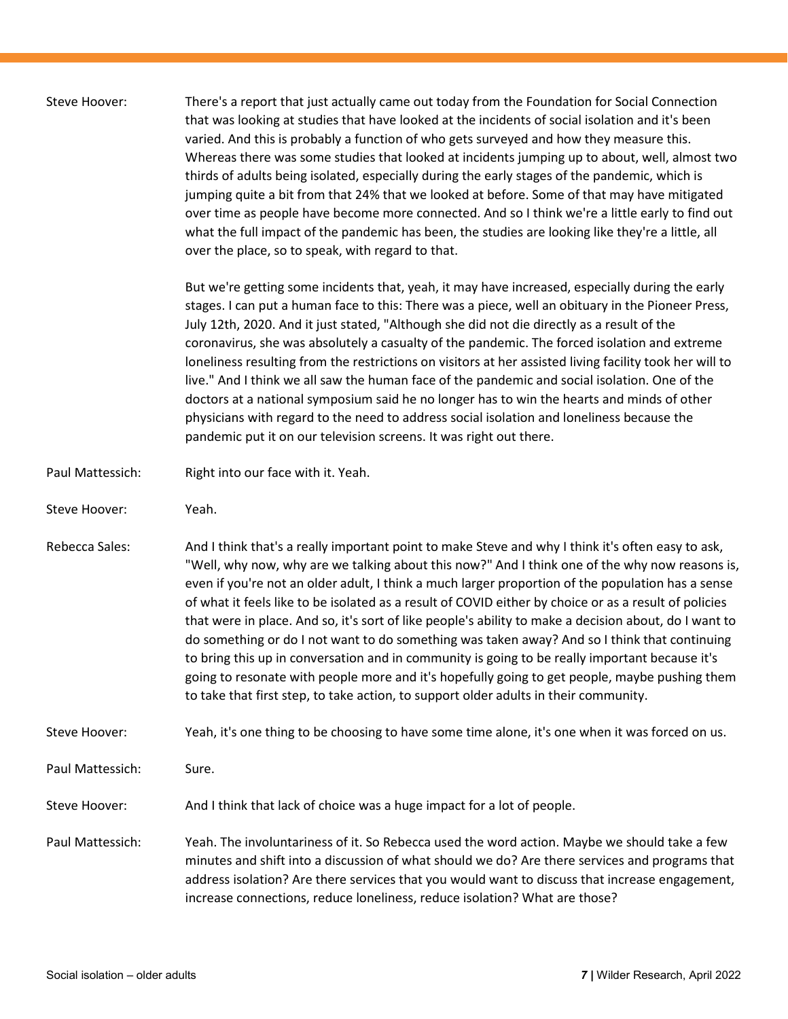| Steve Hoover:    | There's a report that just actually came out today from the Foundation for Social Connection<br>that was looking at studies that have looked at the incidents of social isolation and it's been<br>varied. And this is probably a function of who gets surveyed and how they measure this.<br>Whereas there was some studies that looked at incidents jumping up to about, well, almost two<br>thirds of adults being isolated, especially during the early stages of the pandemic, which is<br>jumping quite a bit from that 24% that we looked at before. Some of that may have mitigated<br>over time as people have become more connected. And so I think we're a little early to find out<br>what the full impact of the pandemic has been, the studies are looking like they're a little, all<br>over the place, so to speak, with regard to that.                                                              |
|------------------|-----------------------------------------------------------------------------------------------------------------------------------------------------------------------------------------------------------------------------------------------------------------------------------------------------------------------------------------------------------------------------------------------------------------------------------------------------------------------------------------------------------------------------------------------------------------------------------------------------------------------------------------------------------------------------------------------------------------------------------------------------------------------------------------------------------------------------------------------------------------------------------------------------------------------|
|                  | But we're getting some incidents that, yeah, it may have increased, especially during the early<br>stages. I can put a human face to this: There was a piece, well an obituary in the Pioneer Press,<br>July 12th, 2020. And it just stated, "Although she did not die directly as a result of the<br>coronavirus, she was absolutely a casualty of the pandemic. The forced isolation and extreme<br>loneliness resulting from the restrictions on visitors at her assisted living facility took her will to<br>live." And I think we all saw the human face of the pandemic and social isolation. One of the<br>doctors at a national symposium said he no longer has to win the hearts and minds of other<br>physicians with regard to the need to address social isolation and loneliness because the<br>pandemic put it on our television screens. It was right out there.                                       |
| Paul Mattessich: | Right into our face with it. Yeah.                                                                                                                                                                                                                                                                                                                                                                                                                                                                                                                                                                                                                                                                                                                                                                                                                                                                                    |
| Steve Hoover:    | Yeah.                                                                                                                                                                                                                                                                                                                                                                                                                                                                                                                                                                                                                                                                                                                                                                                                                                                                                                                 |
| Rebecca Sales:   | And I think that's a really important point to make Steve and why I think it's often easy to ask,<br>"Well, why now, why are we talking about this now?" And I think one of the why now reasons is,<br>even if you're not an older adult, I think a much larger proportion of the population has a sense<br>of what it feels like to be isolated as a result of COVID either by choice or as a result of policies<br>that were in place. And so, it's sort of like people's ability to make a decision about, do I want to<br>do something or do I not want to do something was taken away? And so I think that continuing<br>to bring this up in conversation and in community is going to be really important because it's<br>going to resonate with people more and it's hopefully going to get people, maybe pushing them<br>to take that first step, to take action, to support older adults in their community. |
| Steve Hoover:    | Yeah, it's one thing to be choosing to have some time alone, it's one when it was forced on us.                                                                                                                                                                                                                                                                                                                                                                                                                                                                                                                                                                                                                                                                                                                                                                                                                       |
| Paul Mattessich: | Sure.                                                                                                                                                                                                                                                                                                                                                                                                                                                                                                                                                                                                                                                                                                                                                                                                                                                                                                                 |
| Steve Hoover:    | And I think that lack of choice was a huge impact for a lot of people.                                                                                                                                                                                                                                                                                                                                                                                                                                                                                                                                                                                                                                                                                                                                                                                                                                                |
| Paul Mattessich: | Yeah. The involuntariness of it. So Rebecca used the word action. Maybe we should take a few<br>minutes and shift into a discussion of what should we do? Are there services and programs that<br>address isolation? Are there services that you would want to discuss that increase engagement,<br>increase connections, reduce loneliness, reduce isolation? What are those?                                                                                                                                                                                                                                                                                                                                                                                                                                                                                                                                        |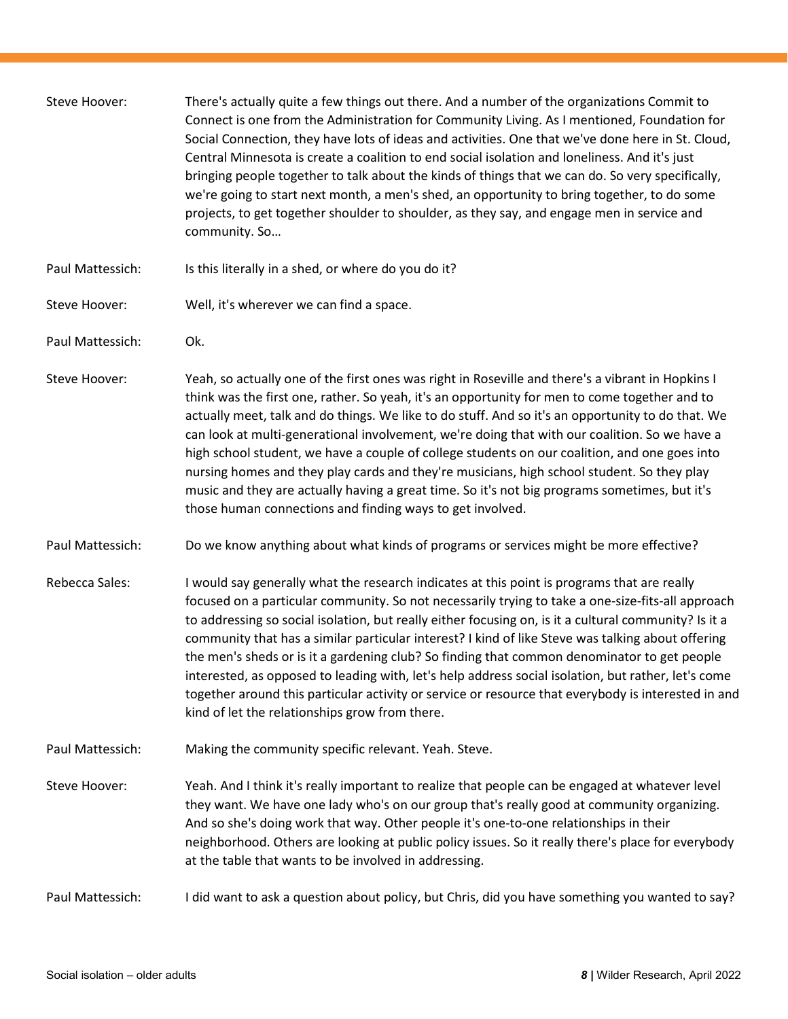| Steve Hoover:    | There's actually quite a few things out there. And a number of the organizations Commit to<br>Connect is one from the Administration for Community Living. As I mentioned, Foundation for<br>Social Connection, they have lots of ideas and activities. One that we've done here in St. Cloud,<br>Central Minnesota is create a coalition to end social isolation and loneliness. And it's just<br>bringing people together to talk about the kinds of things that we can do. So very specifically,<br>we're going to start next month, a men's shed, an opportunity to bring together, to do some<br>projects, to get together shoulder to shoulder, as they say, and engage men in service and<br>community. So                                                             |
|------------------|-------------------------------------------------------------------------------------------------------------------------------------------------------------------------------------------------------------------------------------------------------------------------------------------------------------------------------------------------------------------------------------------------------------------------------------------------------------------------------------------------------------------------------------------------------------------------------------------------------------------------------------------------------------------------------------------------------------------------------------------------------------------------------|
| Paul Mattessich: | Is this literally in a shed, or where do you do it?                                                                                                                                                                                                                                                                                                                                                                                                                                                                                                                                                                                                                                                                                                                           |
| Steve Hoover:    | Well, it's wherever we can find a space.                                                                                                                                                                                                                                                                                                                                                                                                                                                                                                                                                                                                                                                                                                                                      |
| Paul Mattessich: | Ok.                                                                                                                                                                                                                                                                                                                                                                                                                                                                                                                                                                                                                                                                                                                                                                           |
| Steve Hoover:    | Yeah, so actually one of the first ones was right in Roseville and there's a vibrant in Hopkins I<br>think was the first one, rather. So yeah, it's an opportunity for men to come together and to<br>actually meet, talk and do things. We like to do stuff. And so it's an opportunity to do that. We<br>can look at multi-generational involvement, we're doing that with our coalition. So we have a<br>high school student, we have a couple of college students on our coalition, and one goes into<br>nursing homes and they play cards and they're musicians, high school student. So they play<br>music and they are actually having a great time. So it's not big programs sometimes, but it's<br>those human connections and finding ways to get involved.         |
| Paul Mattessich: | Do we know anything about what kinds of programs or services might be more effective?                                                                                                                                                                                                                                                                                                                                                                                                                                                                                                                                                                                                                                                                                         |
| Rebecca Sales:   | I would say generally what the research indicates at this point is programs that are really<br>focused on a particular community. So not necessarily trying to take a one-size-fits-all approach<br>to addressing so social isolation, but really either focusing on, is it a cultural community? Is it a<br>community that has a similar particular interest? I kind of like Steve was talking about offering<br>the men's sheds or is it a gardening club? So finding that common denominator to get people<br>interested, as opposed to leading with, let's help address social isolation, but rather, let's come<br>together around this particular activity or service or resource that everybody is interested in and<br>kind of let the relationships grow from there. |
| Paul Mattessich: | Making the community specific relevant. Yeah. Steve.                                                                                                                                                                                                                                                                                                                                                                                                                                                                                                                                                                                                                                                                                                                          |
| Steve Hoover:    | Yeah. And I think it's really important to realize that people can be engaged at whatever level<br>they want. We have one lady who's on our group that's really good at community organizing.<br>And so she's doing work that way. Other people it's one-to-one relationships in their<br>neighborhood. Others are looking at public policy issues. So it really there's place for everybody<br>at the table that wants to be involved in addressing.                                                                                                                                                                                                                                                                                                                         |
| Paul Mattessich: | I did want to ask a question about policy, but Chris, did you have something you wanted to say?                                                                                                                                                                                                                                                                                                                                                                                                                                                                                                                                                                                                                                                                               |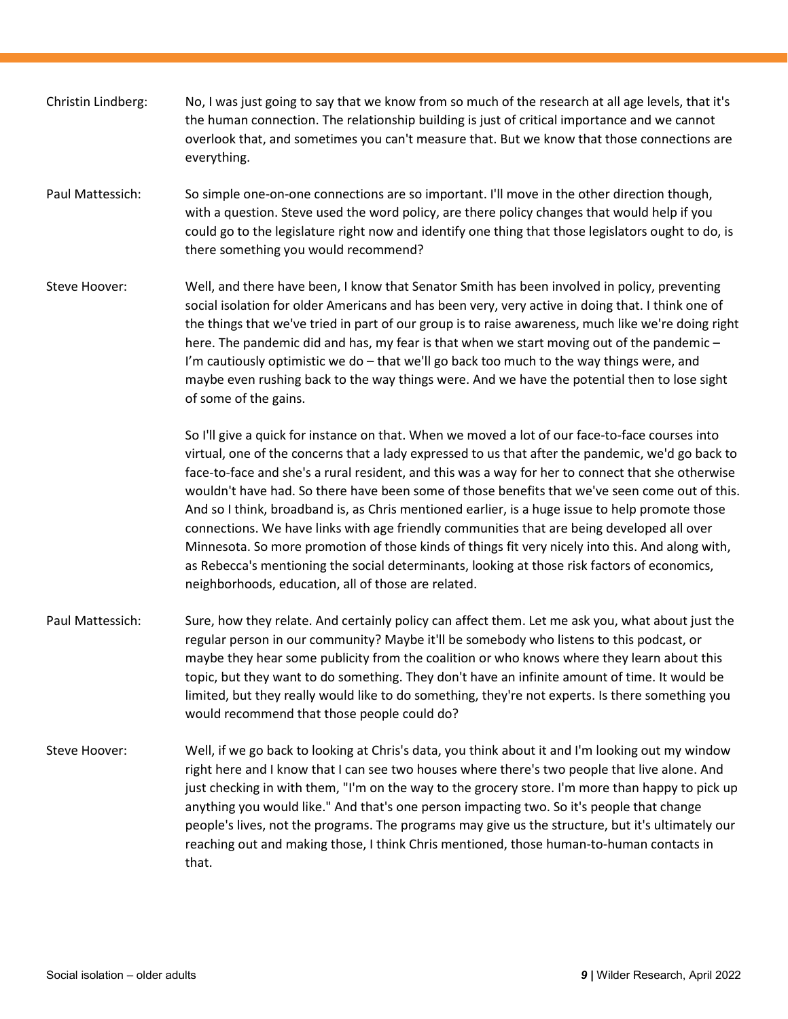| Christin Lindberg: | No, I was just going to say that we know from so much of the research at all age levels, that it's<br>the human connection. The relationship building is just of critical importance and we cannot<br>overlook that, and sometimes you can't measure that. But we know that those connections are<br>everything.                                                                                                                                                                                                                                                                                                                                                                                                                                                                                                                                                        |
|--------------------|-------------------------------------------------------------------------------------------------------------------------------------------------------------------------------------------------------------------------------------------------------------------------------------------------------------------------------------------------------------------------------------------------------------------------------------------------------------------------------------------------------------------------------------------------------------------------------------------------------------------------------------------------------------------------------------------------------------------------------------------------------------------------------------------------------------------------------------------------------------------------|
| Paul Mattessich:   | So simple one-on-one connections are so important. I'll move in the other direction though,<br>with a question. Steve used the word policy, are there policy changes that would help if you<br>could go to the legislature right now and identify one thing that those legislators ought to do, is<br>there something you would recommend?                                                                                                                                                                                                                                                                                                                                                                                                                                                                                                                              |
| Steve Hoover:      | Well, and there have been, I know that Senator Smith has been involved in policy, preventing<br>social isolation for older Americans and has been very, very active in doing that. I think one of<br>the things that we've tried in part of our group is to raise awareness, much like we're doing right<br>here. The pandemic did and has, my fear is that when we start moving out of the pandemic -<br>I'm cautiously optimistic we do - that we'll go back too much to the way things were, and<br>maybe even rushing back to the way things were. And we have the potential then to lose sight<br>of some of the gains.                                                                                                                                                                                                                                            |
|                    | So I'll give a quick for instance on that. When we moved a lot of our face-to-face courses into<br>virtual, one of the concerns that a lady expressed to us that after the pandemic, we'd go back to<br>face-to-face and she's a rural resident, and this was a way for her to connect that she otherwise<br>wouldn't have had. So there have been some of those benefits that we've seen come out of this.<br>And so I think, broadband is, as Chris mentioned earlier, is a huge issue to help promote those<br>connections. We have links with age friendly communities that are being developed all over<br>Minnesota. So more promotion of those kinds of things fit very nicely into this. And along with,<br>as Rebecca's mentioning the social determinants, looking at those risk factors of economics,<br>neighborhoods, education, all of those are related. |
| Paul Mattessich:   | Sure, how they relate. And certainly policy can affect them. Let me ask you, what about just the<br>regular person in our community? Maybe it'll be somebody who listens to this podcast, or<br>maybe they hear some publicity from the coalition or who knows where they learn about this<br>topic, but they want to do something. They don't have an infinite amount of time. It would be<br>limited, but they really would like to do something, they're not experts. Is there something you<br>would recommend that those people could do?                                                                                                                                                                                                                                                                                                                          |
| Steve Hoover:      | Well, if we go back to looking at Chris's data, you think about it and I'm looking out my window<br>right here and I know that I can see two houses where there's two people that live alone. And<br>just checking in with them, "I'm on the way to the grocery store. I'm more than happy to pick up<br>anything you would like." And that's one person impacting two. So it's people that change<br>people's lives, not the programs. The programs may give us the structure, but it's ultimately our<br>reaching out and making those, I think Chris mentioned, those human-to-human contacts in<br>that.                                                                                                                                                                                                                                                            |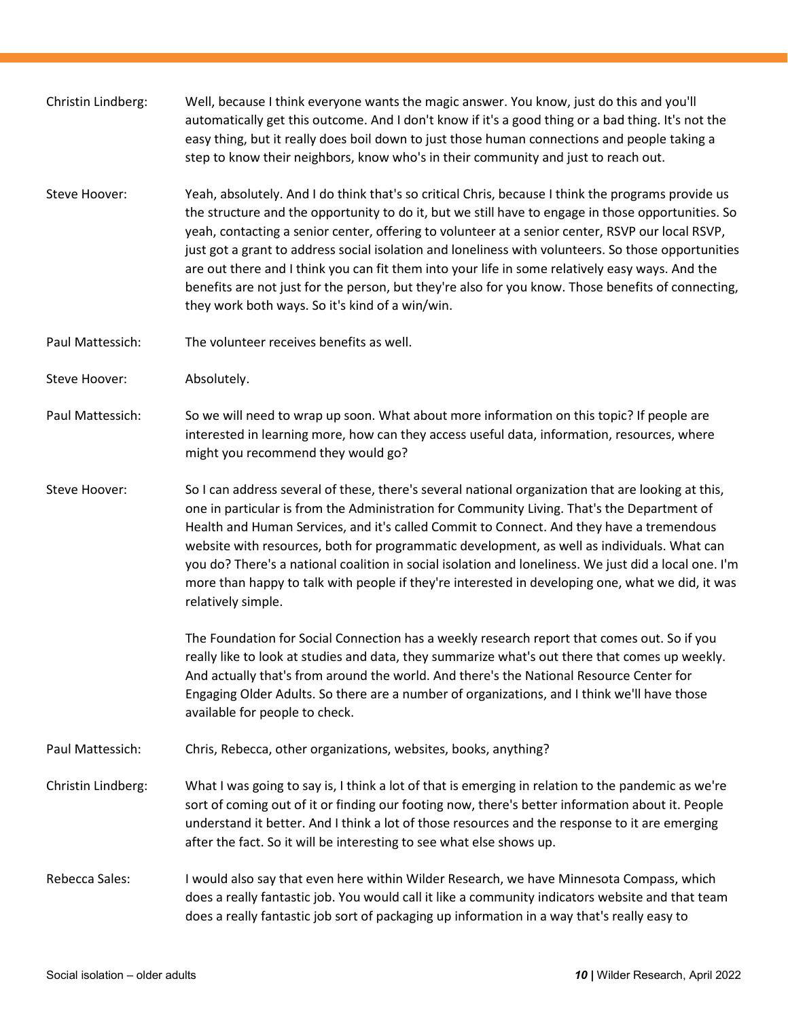| Christin Lindberg: | Well, because I think everyone wants the magic answer. You know, just do this and you'll<br>automatically get this outcome. And I don't know if it's a good thing or a bad thing. It's not the<br>easy thing, but it really does boil down to just those human connections and people taking a<br>step to know their neighbors, know who's in their community and just to reach out.                                                                                                                                                                                                                                                                                            |
|--------------------|---------------------------------------------------------------------------------------------------------------------------------------------------------------------------------------------------------------------------------------------------------------------------------------------------------------------------------------------------------------------------------------------------------------------------------------------------------------------------------------------------------------------------------------------------------------------------------------------------------------------------------------------------------------------------------|
| Steve Hoover:      | Yeah, absolutely. And I do think that's so critical Chris, because I think the programs provide us<br>the structure and the opportunity to do it, but we still have to engage in those opportunities. So<br>yeah, contacting a senior center, offering to volunteer at a senior center, RSVP our local RSVP,<br>just got a grant to address social isolation and loneliness with volunteers. So those opportunities<br>are out there and I think you can fit them into your life in some relatively easy ways. And the<br>benefits are not just for the person, but they're also for you know. Those benefits of connecting,<br>they work both ways. So it's kind of a win/win. |
| Paul Mattessich:   | The volunteer receives benefits as well.                                                                                                                                                                                                                                                                                                                                                                                                                                                                                                                                                                                                                                        |
| Steve Hoover:      | Absolutely.                                                                                                                                                                                                                                                                                                                                                                                                                                                                                                                                                                                                                                                                     |
| Paul Mattessich:   | So we will need to wrap up soon. What about more information on this topic? If people are<br>interested in learning more, how can they access useful data, information, resources, where<br>might you recommend they would go?                                                                                                                                                                                                                                                                                                                                                                                                                                                  |
| Steve Hoover:      | So I can address several of these, there's several national organization that are looking at this,<br>one in particular is from the Administration for Community Living. That's the Department of<br>Health and Human Services, and it's called Commit to Connect. And they have a tremendous<br>website with resources, both for programmatic development, as well as individuals. What can<br>you do? There's a national coalition in social isolation and loneliness. We just did a local one. I'm<br>more than happy to talk with people if they're interested in developing one, what we did, it was<br>relatively simple.                                                 |
|                    | The Foundation for Social Connection has a weekly research report that comes out. So if you<br>really like to look at studies and data, they summarize what's out there that comes up weekly.<br>And actually that's from around the world. And there's the National Resource Center for<br>Engaging Older Adults. So there are a number of organizations, and I think we'll have those<br>available for people to check.                                                                                                                                                                                                                                                       |
| Paul Mattessich:   | Chris, Rebecca, other organizations, websites, books, anything?                                                                                                                                                                                                                                                                                                                                                                                                                                                                                                                                                                                                                 |
| Christin Lindberg: | What I was going to say is, I think a lot of that is emerging in relation to the pandemic as we're<br>sort of coming out of it or finding our footing now, there's better information about it. People<br>understand it better. And I think a lot of those resources and the response to it are emerging<br>after the fact. So it will be interesting to see what else shows up.                                                                                                                                                                                                                                                                                                |
| Rebecca Sales:     | I would also say that even here within Wilder Research, we have Minnesota Compass, which<br>does a really fantastic job. You would call it like a community indicators website and that team<br>does a really fantastic job sort of packaging up information in a way that's really easy to                                                                                                                                                                                                                                                                                                                                                                                     |